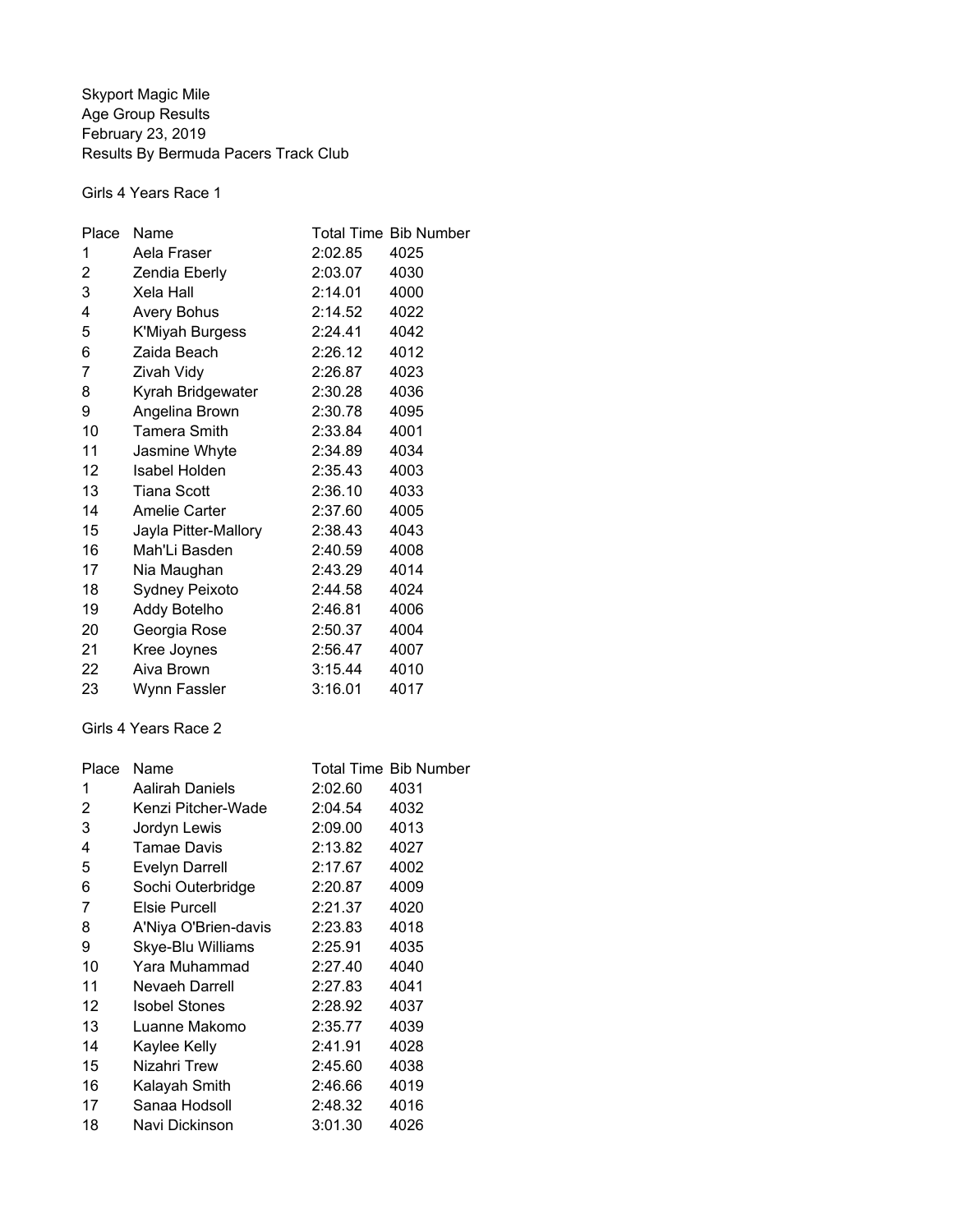Skyport Magic Mile Age Group Results February 23, 2019 Results By Bermuda Pacers Track Club

Girls 4 Years Race 1

| Place | Name                 |         | <b>Total Time Bib Number</b> |
|-------|----------------------|---------|------------------------------|
| 1     | Aela Fraser          | 2:02.85 | 4025                         |
| 2     | Zendia Eberly        | 2:03.07 | 4030                         |
| 3     | Xela Hall            | 2:14.01 | 4000                         |
| 4     | <b>Avery Bohus</b>   | 2:14.52 | 4022                         |
| 5     | K'Miyah Burgess      | 2:24.41 | 4042                         |
| 6     | Zaida Beach          | 2:26.12 | 4012                         |
| 7     | Zivah Vidy           | 2:26.87 | 4023                         |
| 8     | Kyrah Bridgewater    | 2:30.28 | 4036                         |
| 9     | Angelina Brown       | 2:30.78 | 4095                         |
| 10    | <b>Tamera Smith</b>  | 2:33.84 | 4001                         |
| 11    | Jasmine Whyte        | 2:34.89 | 4034                         |
| 12    | Isabel Holden        | 2:35.43 | 4003                         |
| 13    | <b>Tiana Scott</b>   | 2:36.10 | 4033                         |
| 14    | Amelie Carter        | 2:37.60 | 4005                         |
| 15    | Jayla Pitter-Mallory | 2:38.43 | 4043                         |
| 16    | Mah'Li Basden        | 2:40.59 | 4008                         |
| 17    | Nia Maughan          | 2:43.29 | 4014                         |
| 18    | Sydney Peixoto       | 2:44.58 | 4024                         |
| 19    | Addy Botelho         | 2:46.81 | 4006                         |
| 20    | Georgia Rose         | 2:50.37 | 4004                         |
| 21    | Kree Joynes          | 2:56.47 | 4007                         |
| 22    | Aiva Brown           | 3:15.44 | 4010                         |
| 23    | Wynn Fassler         | 3:16.01 | 4017                         |

Girls 4 Years Race 2

| Place          | Name                  |         | <b>Total Time Bib Number</b> |
|----------------|-----------------------|---------|------------------------------|
| 1              | Aalirah Daniels       | 2:02.60 | 4031                         |
| $\overline{2}$ | Kenzi Pitcher-Wade    | 2:04.54 | 4032                         |
| 3              | Jordyn Lewis          | 2:09.00 | 4013                         |
| 4              | Tamae Davis           | 2:13.82 | 4027                         |
| 5              | <b>Evelyn Darrell</b> | 2:17.67 | 4002                         |
| 6              | Sochi Outerbridge     | 2:20.87 | 4009                         |
| 7              | <b>Elsie Purcell</b>  | 2:21.37 | 4020                         |
| 8              | A'Niya O'Brien-davis  | 2:23.83 | 4018                         |
| 9              | Skye-Blu Williams     | 2:25.91 | 4035                         |
| 10             | Yara Muhammad         | 2:27.40 | 4040                         |
| 11             | Nevaeh Darrell        | 2:27.83 | 4041                         |
| 12             | <b>Isobel Stones</b>  | 2:28.92 | 4037                         |
| 13             | Luanne Makomo         | 2:35.77 | 4039                         |
| 14             | Kaylee Kelly          | 2:41.91 | 4028                         |
| 15             | Nizahri Trew          | 2:45.60 | 4038                         |
| 16             | Kalayah Smith         | 2:46.66 | 4019                         |
| 17             | Sanaa Hodsoll         | 2:48.32 | 4016                         |
| 18             | Navi Dickinson        | 3:01.30 | 4026                         |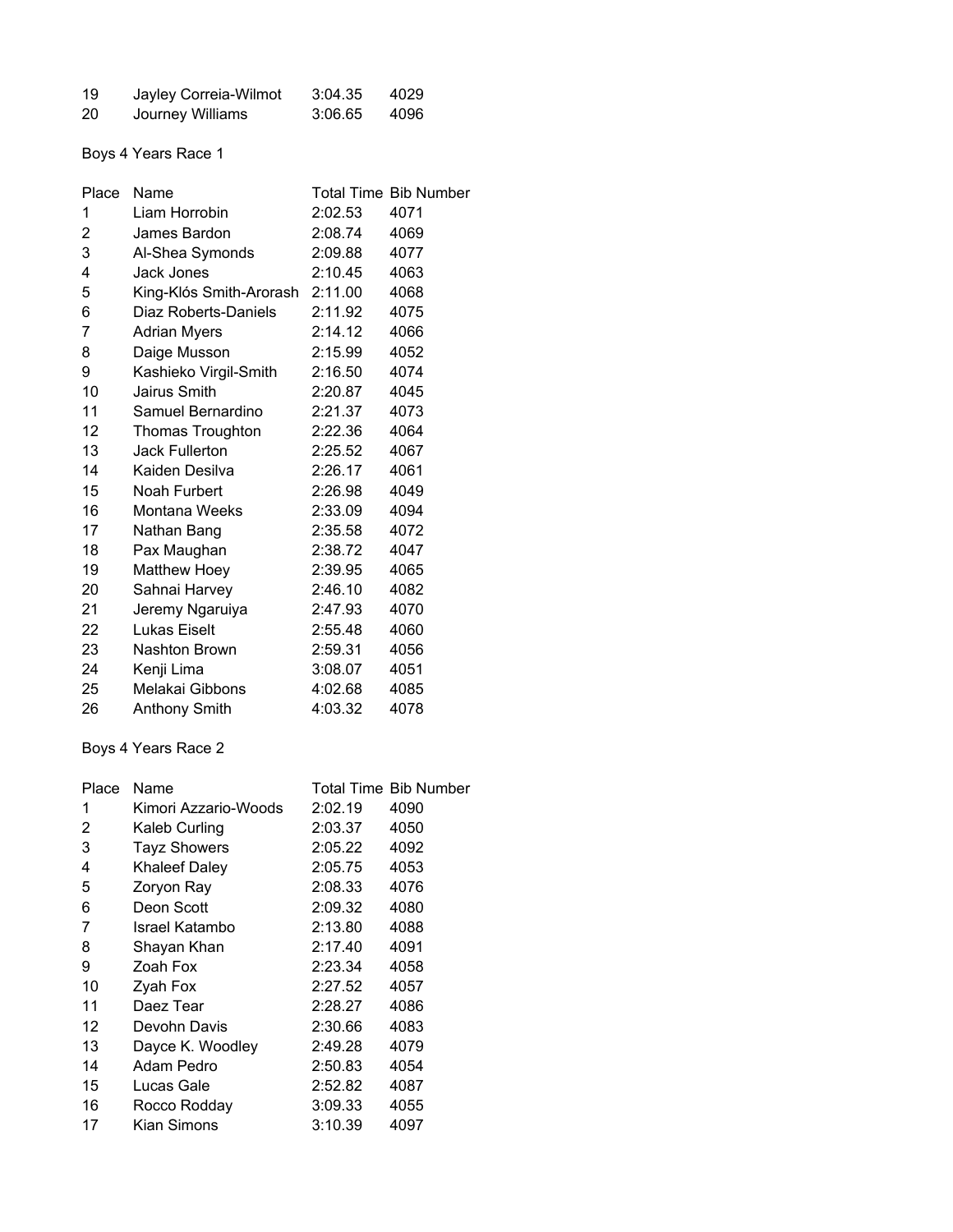| 19 | Jayley Correia-Wilmot | 3:04.35 | 4029 |
|----|-----------------------|---------|------|
| 20 | Journey Williams      | 3:06.65 | 4096 |

# Boys 4 Years Race 1

| Place | Name                            |         | <b>Total Time Bib Number</b> |
|-------|---------------------------------|---------|------------------------------|
| 1     | Liam Horrobin                   | 2:02.53 | 4071                         |
| 2     | James Bardon                    | 2:08.74 | 4069                         |
| 3     | Al-Shea Symonds                 | 2:09.88 | 4077                         |
| 4     | Jack Jones                      | 2:10.45 | 4063                         |
| 5     | King-Klós Smith-Arorash 2:11.00 |         | 4068                         |
| 6     | Diaz Roberts-Daniels            | 2:11.92 | 4075                         |
| 7     | <b>Adrian Myers</b>             | 2:14.12 | 4066                         |
| 8     | Daige Musson                    | 2:15.99 | 4052                         |
| 9     | Kashieko Virgil-Smith           | 2:16.50 | 4074                         |
| 10    | Jairus Smith                    | 2:20.87 | 4045                         |
| 11    | Samuel Bernardino               | 2:21.37 | 4073                         |
| 12    | Thomas Troughton                | 2:22.36 | 4064                         |
| 13    | Jack Fullerton                  | 2:25.52 | 4067                         |
| 14    | Kaiden Desilva                  | 2:26.17 | 4061                         |
| 15    | Noah Furbert                    | 2:26.98 | 4049                         |
| 16    | Montana Weeks                   | 2:33.09 | 4094                         |
| 17    | Nathan Bang                     | 2:35.58 | 4072                         |
| 18    | Pax Maughan                     | 2:38.72 | 4047                         |
| 19    | <b>Matthew Hoey</b>             | 2:39.95 | 4065                         |
| 20    | Sahnai Harvey                   | 2:46.10 | 4082                         |
| 21    | Jeremy Ngaruiya                 | 2:47.93 | 4070                         |
| 22    | <b>Lukas Eiselt</b>             | 2:55.48 | 4060                         |
| 23    | Nashton Brown                   | 2:59.31 | 4056                         |
| 24    | Kenji Lima                      | 3:08.07 | 4051                         |
| 25    | Melakai Gibbons                 | 4:02.68 | 4085                         |
| 26    | <b>Anthony Smith</b>            | 4:03.32 | 4078                         |

# Boys 4 Years Race 2

| Place | Name                 |         | <b>Total Time Bib Number</b> |
|-------|----------------------|---------|------------------------------|
| 1     | Kimori Azzario-Woods | 2:02.19 | 4090                         |
| 2     | Kaleb Curling        | 2:03.37 | 4050                         |
| 3     | <b>Tayz Showers</b>  | 2:05.22 | 4092                         |
| 4     | <b>Khaleef Daley</b> | 2:05.75 | 4053                         |
| 5     | Zoryon Ray           | 2:08.33 | 4076                         |
| 6     | Deon Scott           | 2:09.32 | 4080                         |
| 7     | Israel Katambo       | 2:13.80 | 4088                         |
| 8     | Shayan Khan          | 2:17.40 | 4091                         |
| 9     | Zoah Fox             | 2:23.34 | 4058                         |
| 10    | Zyah Fox             | 2:27.52 | 4057                         |
| 11    | Daez Tear            | 2:28.27 | 4086                         |
| 12    | Devohn Davis         | 2:30.66 | 4083                         |
| 13    | Dayce K. Woodley     | 2:49.28 | 4079                         |
| 14    | Adam Pedro           | 2:50.83 | 4054                         |
| 15    | Lucas Gale           | 2:52.82 | 4087                         |
| 16    | Rocco Rodday         | 3:09.33 | 4055                         |
| 17    | Kian Simons          | 3:10.39 | 4097                         |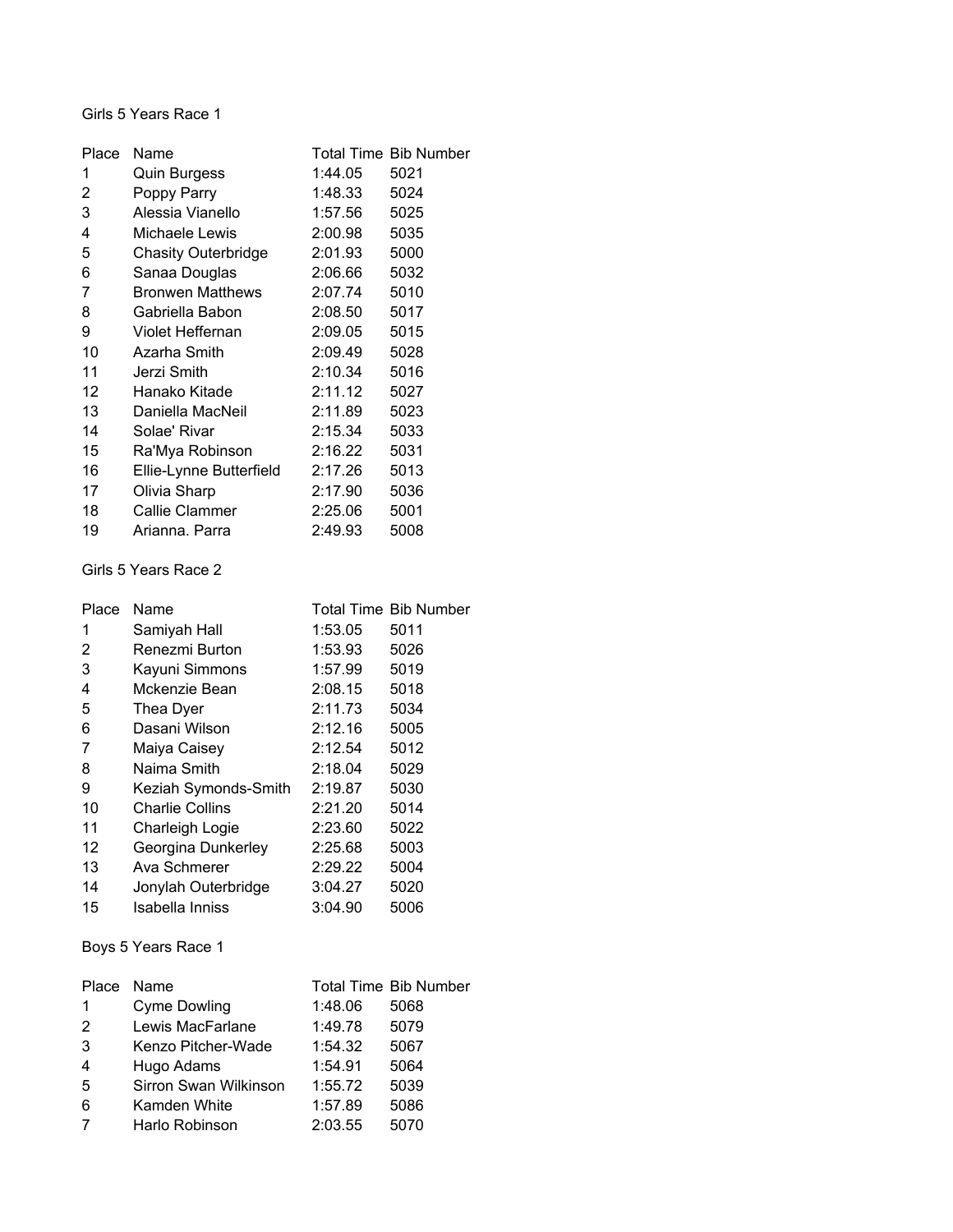Girls 5 Years Race 1

| Place             | Name                       |         | <b>Total Time Bib Number</b> |
|-------------------|----------------------------|---------|------------------------------|
| 1                 | <b>Quin Burgess</b>        | 1:44.05 | 5021                         |
| 2                 | Poppy Parry                | 1:48.33 | 5024                         |
| 3                 | Alessia Vianello           | 1:57.56 | 5025                         |
| 4                 | Michaele Lewis             | 2:00.98 | 5035                         |
| 5                 | <b>Chasity Outerbridge</b> | 2:01.93 | 5000                         |
| 6                 | Sanaa Douglas              | 2:06.66 | 5032                         |
| 7                 | <b>Bronwen Matthews</b>    | 2:07.74 | 5010                         |
| 8                 | Gabriella Babon            | 2:08.50 | 5017                         |
| 9                 | Violet Heffernan           | 2:09.05 | 5015                         |
| 10                | Azarha Smith               | 2:09.49 | 5028                         |
| 11                | Jerzi Smith                | 2:10.34 | 5016                         |
| $12 \overline{ }$ | Hanako Kitade              | 2:11.12 | 5027                         |
| 13                | Daniella MacNeil           | 2:11.89 | 5023                         |
| 14                | Solae' Rivar               | 2:15.34 | 5033                         |
| 15                | Ra'Mya Robinson            | 2:16.22 | 5031                         |
| 16                | Ellie-Lynne Butterfield    | 2:17.26 | 5013                         |
| 17                | Olivia Sharp               | 2:17.90 | 5036                         |
| 18                | Callie Clammer             | 2:25.06 | 5001                         |
| 19                | Arianna. Parra             | 2:49.93 | 5008                         |

#### Girls 5 Years Race 2

| Place | Name                   |         | <b>Total Time Bib Number</b> |
|-------|------------------------|---------|------------------------------|
| 1     | Samiyah Hall           | 1:53.05 | 5011                         |
| 2     | Renezmi Burton         | 1:53.93 | 5026                         |
| 3     | Kayuni Simmons         | 1:57.99 | 5019                         |
| 4     | Mckenzie Bean          | 2:08.15 | 5018                         |
| 5     | Thea Dyer              | 2:11.73 | 5034                         |
| 6     | Dasani Wilson          | 2:12.16 | 5005                         |
| 7     | Maiya Caisey           | 2:12.54 | 5012                         |
| 8     | Naima Smith            | 2:18.04 | 5029                         |
| 9     | Keziah Symonds-Smith   | 2:19.87 | 5030                         |
| 10    | <b>Charlie Collins</b> | 2:21.20 | 5014                         |
| 11    | Charleigh Logie        | 2:23.60 | 5022                         |
| 12    | Georgina Dunkerley     | 2:25.68 | 5003                         |
| 13    | Ava Schmerer           | 2:29.22 | 5004                         |
| 14    | Jonylah Outerbridge    | 3:04.27 | 5020                         |
| 15    | Isabella Inniss        | 3:04.90 | 5006                         |
|       |                        |         |                              |

# Boys 5 Years Race 1

| Place          | Name                  |         | <b>Total Time Bib Number</b> |
|----------------|-----------------------|---------|------------------------------|
| 1              | Cyme Dowling          | 1:48.06 | 5068                         |
| 2              | Lewis MacFarlane      | 1:49.78 | 5079                         |
| 3              | Kenzo Pitcher-Wade    | 1:54.32 | 5067                         |
| $\overline{4}$ | Hugo Adams            | 1:54.91 | 5064                         |
| 5              | Sirron Swan Wilkinson | 1:55.72 | 5039                         |
| 6              | Kamden White          | 1:57.89 | 5086                         |
| 7              | Harlo Robinson        | 2:03.55 | 5070                         |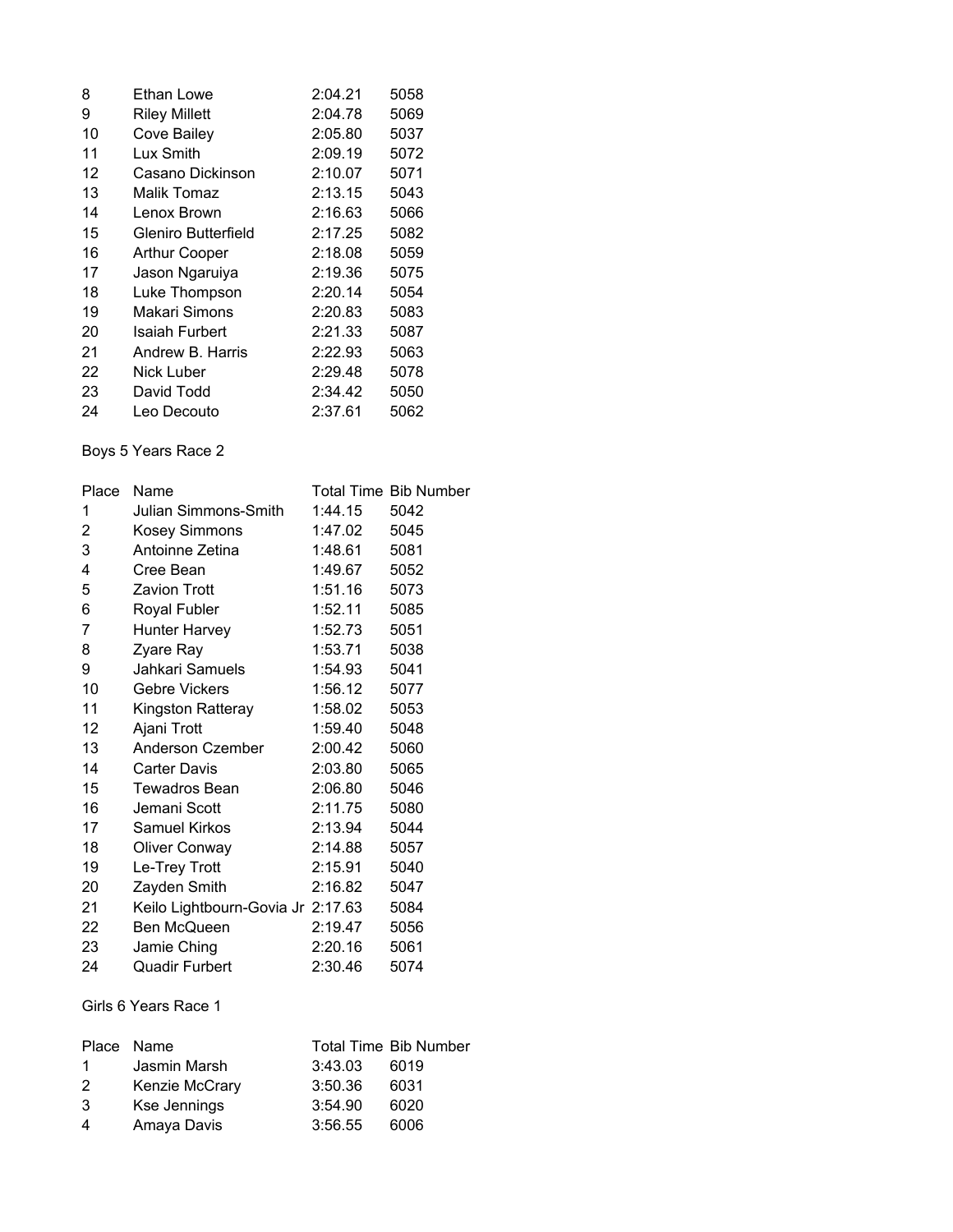| 8  | Ethan Lowe           | 2:04.21 | 5058 |
|----|----------------------|---------|------|
| 9  | <b>Riley Millett</b> | 2:04.78 | 5069 |
| 10 | Cove Bailey          | 2:05.80 | 5037 |
| 11 | Lux Smith            | 2:09.19 | 5072 |
| 12 | Casano Dickinson     | 2:10.07 | 5071 |
| 13 | Malik Tomaz          | 2:13.15 | 5043 |
| 14 | Lenox Brown          | 2:16.63 | 5066 |
| 15 | Gleniro Butterfield  | 2:17.25 | 5082 |
| 16 | <b>Arthur Cooper</b> | 2:18.08 | 5059 |
| 17 | Jason Ngaruiya       | 2:19.36 | 5075 |
| 18 | Luke Thompson        | 2:20.14 | 5054 |
| 19 | Makari Simons        | 2:20.83 | 5083 |
| 20 | Isaiah Furbert       | 2:21.33 | 5087 |
| 21 | Andrew B. Harris     | 2:22.93 | 5063 |
| 22 | Nick Luber           | 2:29.48 | 5078 |
| 23 | David Todd           | 2:34.42 | 5050 |
| 24 | Leo Decouto          | 2:37.61 | 5062 |

# Boys 5 Years Race 2

| Place | Name                              |         | <b>Total Time Bib Number</b> |
|-------|-----------------------------------|---------|------------------------------|
| 1     | Julian Simmons-Smith              | 1:44.15 | 5042                         |
| 2     | Kosey Simmons                     | 1:47.02 | 5045                         |
| 3     | Antoinne Zetina                   | 1:48.61 | 5081                         |
| 4     | Cree Bean                         | 1:49.67 | 5052                         |
| 5     | Zavion Trott                      | 1:51.16 | 5073                         |
| 6     | Royal Fubler                      | 1:52.11 | 5085                         |
| 7     | Hunter Harvey                     | 1:52.73 | 5051                         |
| 8     | Zyare Ray                         | 1:53.71 | 5038                         |
| 9     | Jahkari Samuels                   | 1:54.93 | 5041                         |
| 10    | <b>Gebre Vickers</b>              | 1:56.12 | 5077                         |
| 11    | Kingston Ratteray                 | 1:58.02 | 5053                         |
| 12    | Ajani Trott                       | 1:59.40 | 5048                         |
| 13    | Anderson Czember                  | 2:00.42 | 5060                         |
| 14    | <b>Carter Davis</b>               | 2:03.80 | 5065                         |
| 15    | Tewadros Bean                     | 2:06.80 | 5046                         |
| 16    | Jemani Scott                      | 2:11.75 | 5080                         |
| 17    | Samuel Kirkos                     | 2:13.94 | 5044                         |
| 18    | Oliver Conway                     | 2:14.88 | 5057                         |
| 19    | Le-Trey Trott                     | 2:15.91 | 5040                         |
| 20    | Zayden Smith                      | 2:16.82 | 5047                         |
| 21    | Keilo Lightbourn-Govia Jr 2:17.63 |         | 5084                         |
| 22    | Ben McQueen                       | 2:19.47 | 5056                         |
| 23    | Jamie Ching                       | 2:20.16 | 5061                         |
| 24    | Quadir Furbert                    | 2:30.46 | 5074                         |
|       |                                   |         |                              |

### Girls 6 Years Race 1

| Place Name   |                |         | <b>Total Time Bib Number</b> |
|--------------|----------------|---------|------------------------------|
| $\mathbf{1}$ | Jasmin Marsh   | 3:43.03 | 6019                         |
| 2            | Kenzie McCrary | 3:50.36 | 6031                         |
| 3            | Kse Jennings   | 3:54.90 | 6020                         |
| 4            | Amaya Davis    | 3:56.55 | 6006                         |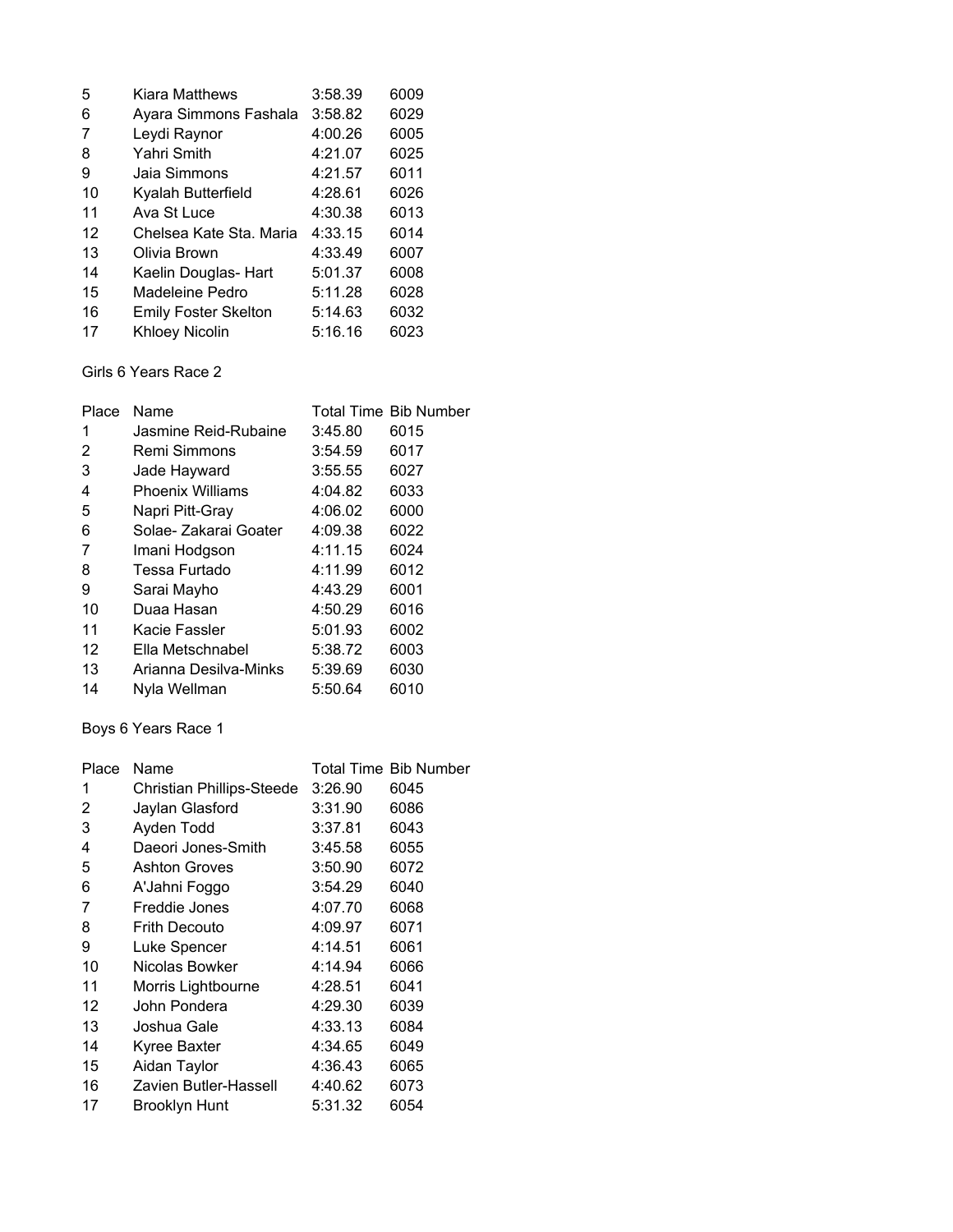| 5  | Kiara Matthews              | 3:58.39 | 6009 |
|----|-----------------------------|---------|------|
| 6  | Ayara Simmons Fashala       | 3:58.82 | 6029 |
| 7  | Leydi Raynor                | 4:00.26 | 6005 |
| 8  | Yahri Smith                 | 4:21.07 | 6025 |
| 9  | Jaia Simmons                | 4:21.57 | 6011 |
| 10 | Kyalah Butterfield          | 4:28.61 | 6026 |
| 11 | Ava St Luce                 | 4:30.38 | 6013 |
| 12 | Chelsea Kate Sta, Maria     | 4:33.15 | 6014 |
| 13 | Olivia Brown                | 4:33.49 | 6007 |
| 14 | Kaelin Douglas- Hart        | 5:01.37 | 6008 |
| 15 | Madeleine Pedro             | 5:11.28 | 6028 |
| 16 | <b>Emily Foster Skelton</b> | 5:14.63 | 6032 |
| 17 | Khloey Nicolin              | 5:16.16 | 6023 |

# Girls 6 Years Race 2

| Place | Name                    |         | <b>Total Time Bib Number</b> |
|-------|-------------------------|---------|------------------------------|
| 1     | Jasmine Reid-Rubaine    | 3:45.80 | 6015                         |
| 2     | Remi Simmons            | 3:54.59 | 6017                         |
| 3     | Jade Hayward            | 3:55.55 | 6027                         |
| 4     | <b>Phoenix Williams</b> | 4:04.82 | 6033                         |
| 5     | Napri Pitt-Gray         | 4:06.02 | 6000                         |
| 6     | Solae-Zakarai Goater    | 4:09.38 | 6022                         |
| 7     | Imani Hodgson           | 4:11.15 | 6024                         |
| 8     | Tessa Furtado           | 4:11.99 | 6012                         |
| 9     | Sarai Mayho             | 4:43.29 | 6001                         |
| 10    | Duaa Hasan              | 4:50.29 | 6016                         |
| 11    | Kacie Fassler           | 5:01.93 | 6002                         |
| 12    | Ella Metschnabel        | 5:38.72 | 6003                         |
| 13    | Arianna Desilva-Minks   | 5:39.69 | 6030                         |
| 14    | Nyla Wellman            | 5:50.64 | 6010                         |

### Boys 6 Years Race 1

| Place | Name                      |         | <b>Total Time Bib Number</b> |
|-------|---------------------------|---------|------------------------------|
| 1     | Christian Phillips-Steede | 3:26.90 | 6045                         |
| 2     | Jaylan Glasford           | 3:31.90 | 6086                         |
| 3     | Ayden Todd                | 3:37.81 | 6043                         |
| 4     | Daeori Jones-Smith        | 3:45.58 | 6055                         |
| 5     | <b>Ashton Groves</b>      | 3:50.90 | 6072                         |
| 6     | A'Jahni Foggo             | 3:54.29 | 6040                         |
| 7     | Freddie Jones             | 4:07.70 | 6068                         |
| 8     | <b>Frith Decouto</b>      | 4:09.97 | 6071                         |
| 9     | Luke Spencer              | 4:14.51 | 6061                         |
| 10    | Nicolas Bowker            | 4:14.94 | 6066                         |
| 11    | Morris Lightbourne        | 4:28.51 | 6041                         |
| 12    | John Pondera              | 4:29.30 | 6039                         |
| 13    | Joshua Gale               | 4:33.13 | 6084                         |
| 14    | Kyree Baxter              | 4:34.65 | 6049                         |
| 15    | Aidan Taylor              | 4:36.43 | 6065                         |
| 16    | Zavien Butler-Hassell     | 4:40.62 | 6073                         |
| 17    | <b>Brooklyn Hunt</b>      | 5:31.32 | 6054                         |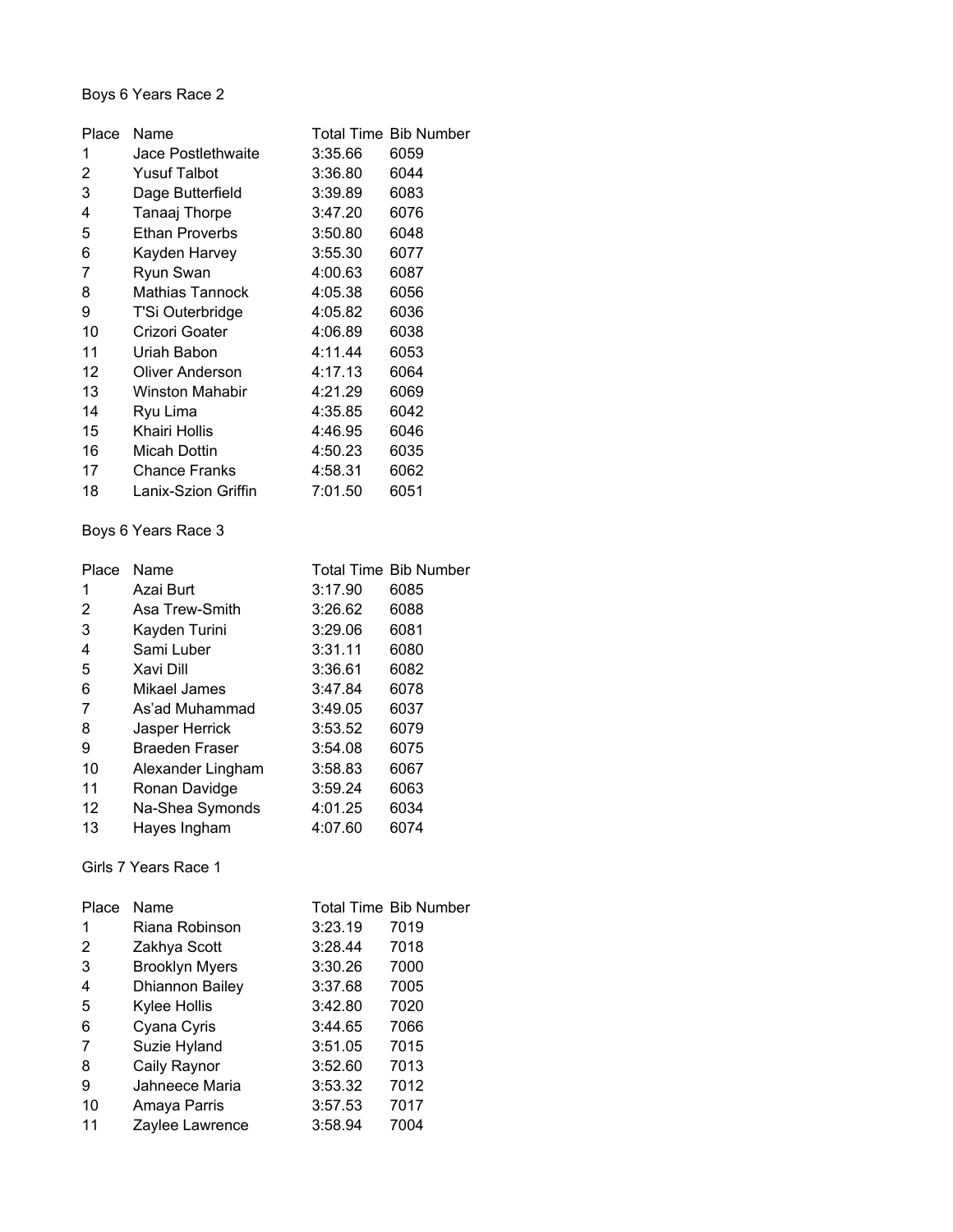### Boys 6 Years Race 2

| Place | Name                  |         | <b>Total Time Bib Number</b> |
|-------|-----------------------|---------|------------------------------|
| 1     | Jace Postlethwaite    | 3:35.66 | 6059                         |
| 2     | <b>Yusuf Talbot</b>   | 3:36.80 | 6044                         |
| 3     | Dage Butterfield      | 3:39.89 | 6083                         |
| 4     | Tanaaj Thorpe         | 3:47.20 | 6076                         |
| 5     | <b>Ethan Proverbs</b> | 3:50.80 | 6048                         |
| 6     | Kayden Harvey         | 3:55.30 | 6077                         |
| 7     | Ryun Swan             | 4:00.63 | 6087                         |
| 8     | Mathias Tannock       | 4:05.38 | 6056                         |
| 9     | T'Si Outerbridge      | 4:05.82 | 6036                         |
| 10    | Crizori Goater        | 4:06.89 | 6038                         |
| 11    | Uriah Babon           | 4:11.44 | 6053                         |
| 12    | Oliver Anderson       | 4:17.13 | 6064                         |
| 13    | Winston Mahabir       | 4:21.29 | 6069                         |
| 14    | Ryu Lima              | 4:35.85 | 6042                         |
| 15    | Khairi Hollis         | 4:46.95 | 6046                         |
| 16    | Micah Dottin          | 4:50.23 | 6035                         |
| 17    | <b>Chance Franks</b>  | 4:58.31 | 6062                         |
| 18    | Lanix-Szion Griffin   | 7:01.50 | 6051                         |
|       |                       |         |                              |

### Boys 6 Years Race 3

| Place | Name                  |         | <b>Total Time Bib Number</b> |
|-------|-----------------------|---------|------------------------------|
| 1     | Azai Burt             | 3:17.90 | 6085                         |
| 2     | Asa Trew-Smith        | 3:26.62 | 6088                         |
| 3     | Kayden Turini         | 3:29.06 | 6081                         |
| 4     | Sami Luber            | 3:31.11 | 6080                         |
| 5     | Xavi Dill             | 3:36.61 | 6082                         |
| 6     | Mikael James          | 3:47.84 | 6078                         |
| 7     | As'ad Muhammad        | 3:49.05 | 6037                         |
| 8     | Jasper Herrick        | 3:53.52 | 6079                         |
| 9     | <b>Braeden Fraser</b> | 3:54.08 | 6075                         |
| 10    | Alexander Lingham     | 3:58.83 | 6067                         |
| 11    | Ronan Davidge         | 3:59.24 | 6063                         |
| 12    | Na-Shea Symonds       | 4:01.25 | 6034                         |
| 13    | Hayes Ingham          | 4:07.60 | 6074                         |

### Girls 7 Years Race 1

| Place | Name                  |         | <b>Total Time Bib Number</b> |
|-------|-----------------------|---------|------------------------------|
| 1     | Riana Robinson        | 3:23.19 | 7019                         |
| 2     | Zakhya Scott          | 3:28.44 | 7018                         |
| 3     | <b>Brooklyn Myers</b> | 3:30.26 | 7000                         |
| 4     | Dhiannon Bailey       | 3:37.68 | 7005                         |
| 5     | Kylee Hollis          | 3:42.80 | 7020                         |
| 6     | Cyana Cyris           | 3:44.65 | 7066                         |
| 7     | Suzie Hyland          | 3:51.05 | 7015                         |
| 8     | Caily Raynor          | 3:52.60 | 7013                         |
| 9     | Jahneece Maria        | 3:53.32 | 7012                         |
| 10    | Amaya Parris          | 3:57.53 | 7017                         |
| 11    | Zaylee Lawrence       | 3:58.94 | 7004                         |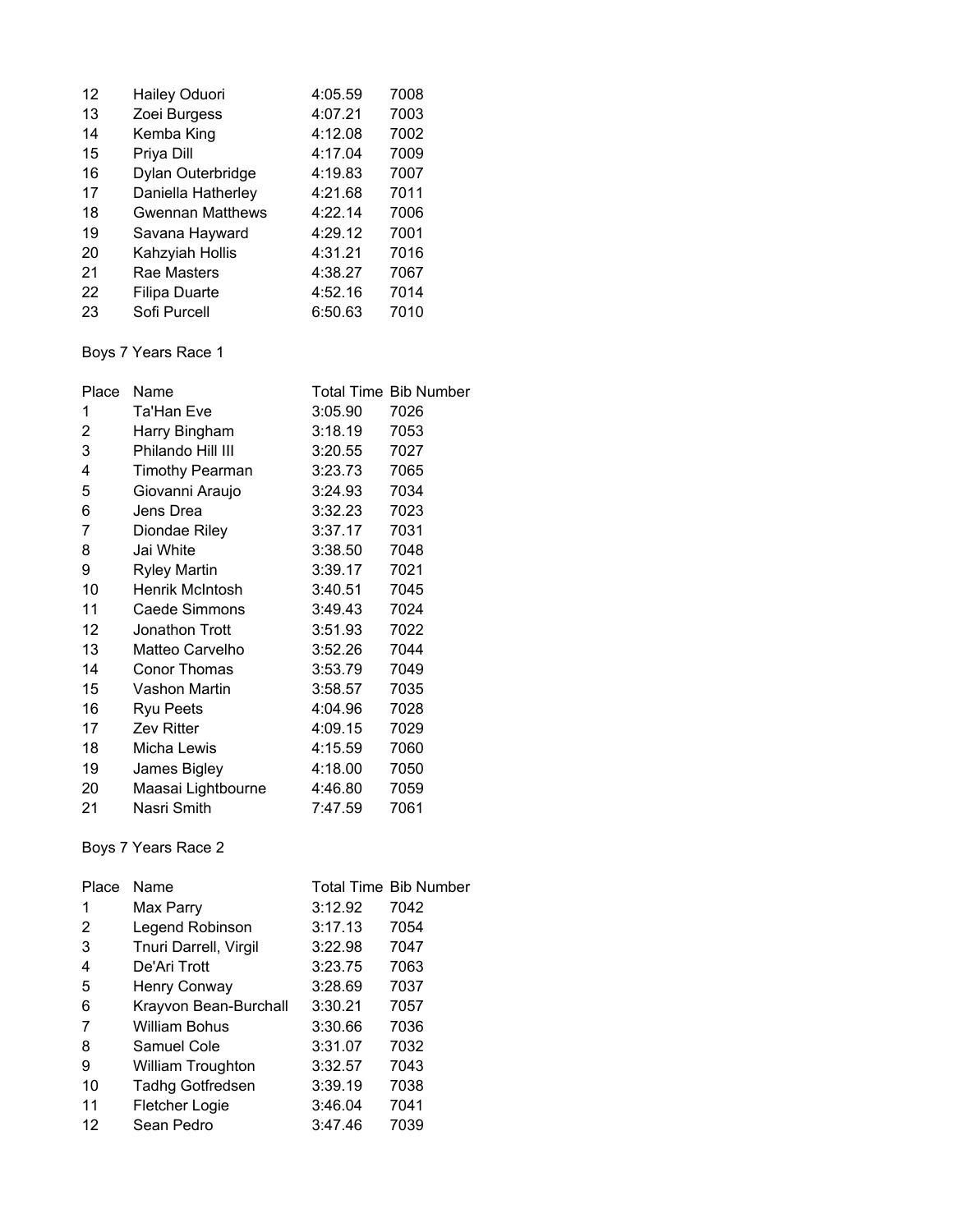| 12 | Hailey Oduori           | 4:05.59 | 7008 |
|----|-------------------------|---------|------|
| 13 | Zoei Burgess            | 4:07.21 | 7003 |
| 14 | Kemba King              | 4:12.08 | 7002 |
| 15 | Priya Dill              | 4:17.04 | 7009 |
| 16 | Dylan Outerbridge       | 4:19.83 | 7007 |
| 17 | Daniella Hatherley      | 4:21.68 | 7011 |
| 18 | <b>Gwennan Matthews</b> | 4:22.14 | 7006 |
| 19 | Savana Hayward          | 4:29.12 | 7001 |
| 20 | Kahzyiah Hollis         | 4:31.21 | 7016 |
| 21 | Rae Masters             | 4:38.27 | 7067 |
| 22 | <b>Filipa Duarte</b>    | 4:52.16 | 7014 |
| 23 | Sofi Purcell            | 6:50.63 | 7010 |

# Boys 7 Years Race 1

| Place | Name                   |         | <b>Total Time Bib Number</b> |
|-------|------------------------|---------|------------------------------|
| 1     | Ta'Han Eve             | 3:05.90 | 7026                         |
| 2     | Harry Bingham          | 3:18.19 | 7053                         |
| 3     | Philando Hill III      | 3:20.55 | 7027                         |
| 4     | <b>Timothy Pearman</b> | 3:23.73 | 7065                         |
| 5     | Giovanni Araujo        | 3:24.93 | 7034                         |
| 6     | Jens Drea              | 3:32.23 | 7023                         |
| 7     | Diondae Riley          | 3:37.17 | 7031                         |
| 8     | Jai White              | 3:38.50 | 7048                         |
| 9     | <b>Ryley Martin</b>    | 3:39.17 | 7021                         |
| 10    | Henrik McIntosh        | 3:40.51 | 7045                         |
| 11    | Caede Simmons          | 3:49.43 | 7024                         |
| 12    | Jonathon Trott         | 3:51.93 | 7022                         |
| 13    | Matteo Carvelho        | 3:52.26 | 7044                         |
| 14    | Conor Thomas           | 3:53.79 | 7049                         |
| 15    | Vashon Martin          | 3:58.57 | 7035                         |
| 16    | Ryu Peets              | 4:04.96 | 7028                         |
| 17    | <b>Zev Ritter</b>      | 4:09.15 | 7029                         |
| 18    | Micha Lewis            | 4:15.59 | 7060                         |
| 19    | James Bigley           | 4:18.00 | 7050                         |
| 20    | Maasai Lightbourne     | 4:46.80 | 7059                         |
| 21    | Nasri Smith            | 7:47.59 | 7061                         |

# Boys 7 Years Race 2

| Place | Name                  |         | <b>Total Time Bib Number</b> |
|-------|-----------------------|---------|------------------------------|
| 1     | Max Parry             | 3:12.92 | 7042                         |
| 2     | Legend Robinson       | 3:17.13 | 7054                         |
| 3     | Tnuri Darrell, Virgil | 3:22.98 | 7047                         |
| 4     | De'Ari Trott          | 3:23.75 | 7063                         |
| 5     | Henry Conway          | 3:28.69 | 7037                         |
| 6     | Krayvon Bean-Burchall | 3:30.21 | 7057                         |
| 7     | <b>William Bohus</b>  | 3:30.66 | 7036                         |
| 8     | Samuel Cole           | 3:31.07 | 7032                         |
| 9     | William Troughton     | 3:32.57 | 7043                         |
| 10    | Tadhg Gotfredsen      | 3:39.19 | 7038                         |
| 11    | Fletcher Logie        | 3:46.04 | 7041                         |
| 12    | Sean Pedro            | 3:47.46 | 7039                         |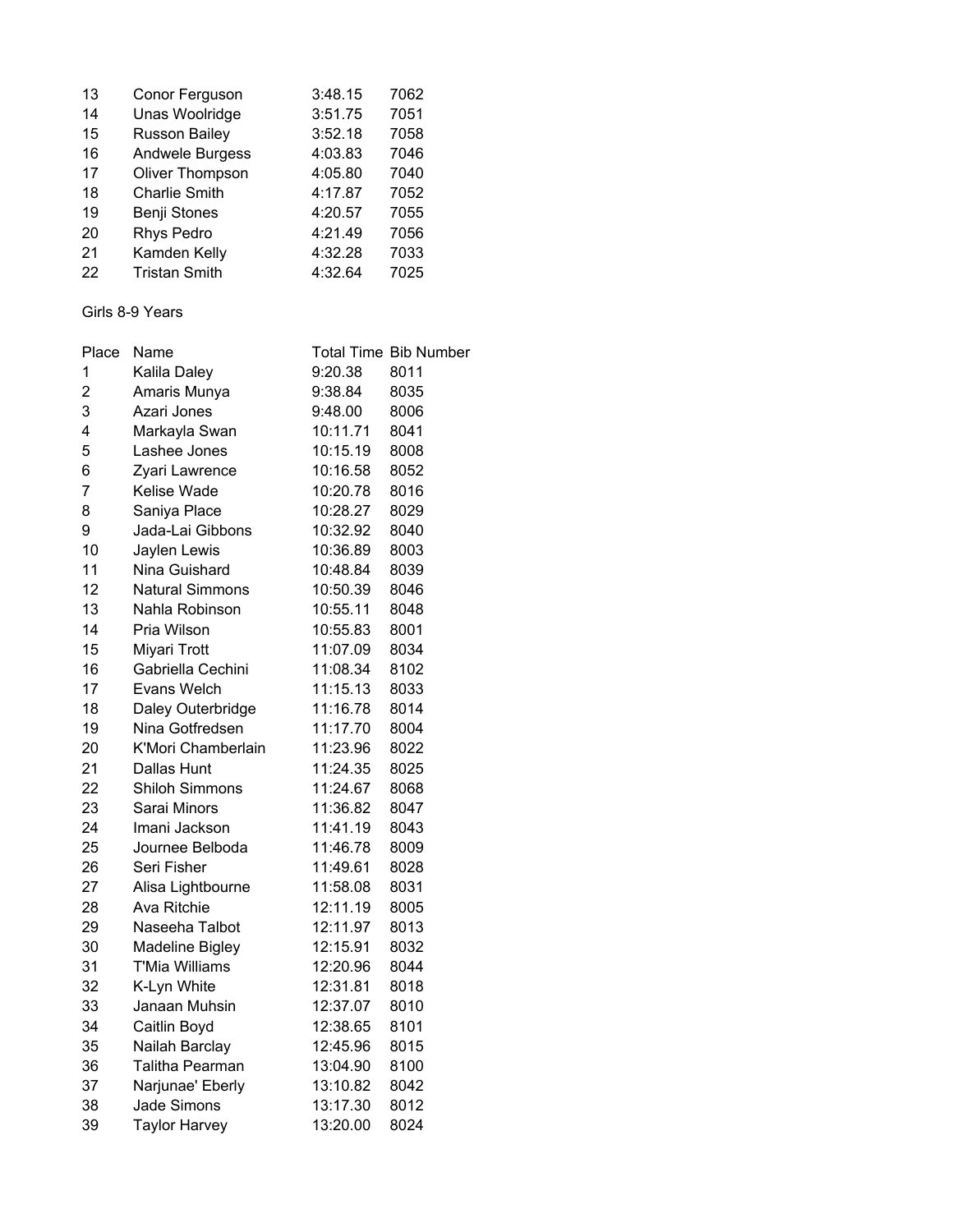| 13 | Conor Ferguson       | 3:48.15 | 7062 |
|----|----------------------|---------|------|
| 14 | Unas Woolridge       | 3:51.75 | 7051 |
| 15 | <b>Russon Bailey</b> | 3:52.18 | 7058 |
| 16 | Andwele Burgess      | 4:03.83 | 7046 |
| 17 | Oliver Thompson      | 4:05.80 | 7040 |
| 18 | <b>Charlie Smith</b> | 4:17.87 | 7052 |
| 19 | Benji Stones         | 4:20.57 | 7055 |
| 20 | Rhys Pedro           | 4:21.49 | 7056 |
| 21 | Kamden Kelly         | 4:32.28 | 7033 |
| 22 | <b>Tristan Smith</b> | 4:32.64 | 7025 |

#### Girls 8-9 Years

| Place          | Name                   |          | <b>Total Time Bib Number</b> |
|----------------|------------------------|----------|------------------------------|
| 1              | Kalila Daley           | 9:20.38  | 8011                         |
| $\overline{c}$ | Amaris Munya           | 9:38.84  | 8035                         |
| 3              | Azari Jones            | 9:48.00  | 8006                         |
| 4              | Markayla Swan          | 10:11.71 | 8041                         |
| 5              | Lashee Jones           | 10:15.19 | 8008                         |
| 6              | Zyari Lawrence         | 10:16.58 | 8052                         |
| $\overline{7}$ | Kelise Wade            | 10:20.78 | 8016                         |
| 8              | Saniya Place           | 10:28.27 | 8029                         |
| 9              | Jada-Lai Gibbons       | 10:32.92 | 8040                         |
| 10             | Jaylen Lewis           | 10:36.89 | 8003                         |
| 11             | Nina Guishard          | 10:48.84 | 8039                         |
| 12             | <b>Natural Simmons</b> | 10:50.39 | 8046                         |
| 13             | Nahla Robinson         | 10:55.11 | 8048                         |
| 14             | Pria Wilson            | 10:55.83 | 8001                         |
| 15             | Miyari Trott           | 11:07.09 | 8034                         |
| 16             | Gabriella Cechini      | 11:08.34 | 8102                         |
| 17             | Evans Welch            | 11:15.13 | 8033                         |
| 18             | Daley Outerbridge      | 11:16.78 | 8014                         |
| 19             | Nina Gotfredsen        | 11:17.70 | 8004                         |
| 20             | K'Mori Chamberlain     | 11:23.96 | 8022                         |
| 21             | Dallas Hunt            | 11:24.35 | 8025                         |
| 22             | <b>Shiloh Simmons</b>  | 11:24.67 | 8068                         |
| 23             | Sarai Minors           | 11:36.82 | 8047                         |
| 24             | Imani Jackson          | 11:41.19 | 8043                         |
| 25             | Journee Belboda        | 11:46.78 | 8009                         |
| 26             | Seri Fisher            | 11:49.61 | 8028                         |
| 27             | Alisa Lightbourne      | 11:58.08 | 8031                         |
| 28             | Ava Ritchie            | 12:11.19 | 8005                         |
| 29             | Naseeha Talbot         | 12:11.97 | 8013                         |
| 30             | <b>Madeline Bigley</b> | 12:15.91 | 8032                         |
| 31             | <b>T'Mia Williams</b>  | 12:20.96 | 8044                         |
| 32             | K-Lyn White            | 12:31.81 | 8018                         |
| 33             | Janaan Muhsin          | 12:37.07 | 8010                         |
| 34             | Caitlin Boyd           | 12:38.65 | 8101                         |
| 35             | Nailah Barclay         | 12:45.96 | 8015                         |
| 36             | Talitha Pearman        | 13:04.90 | 8100                         |
| 37             | Narjunae' Eberly       | 13:10.82 | 8042                         |
| 38             | Jade Simons            | 13:17.30 | 8012                         |
| 39             | <b>Taylor Harvey</b>   | 13:20.00 | 8024                         |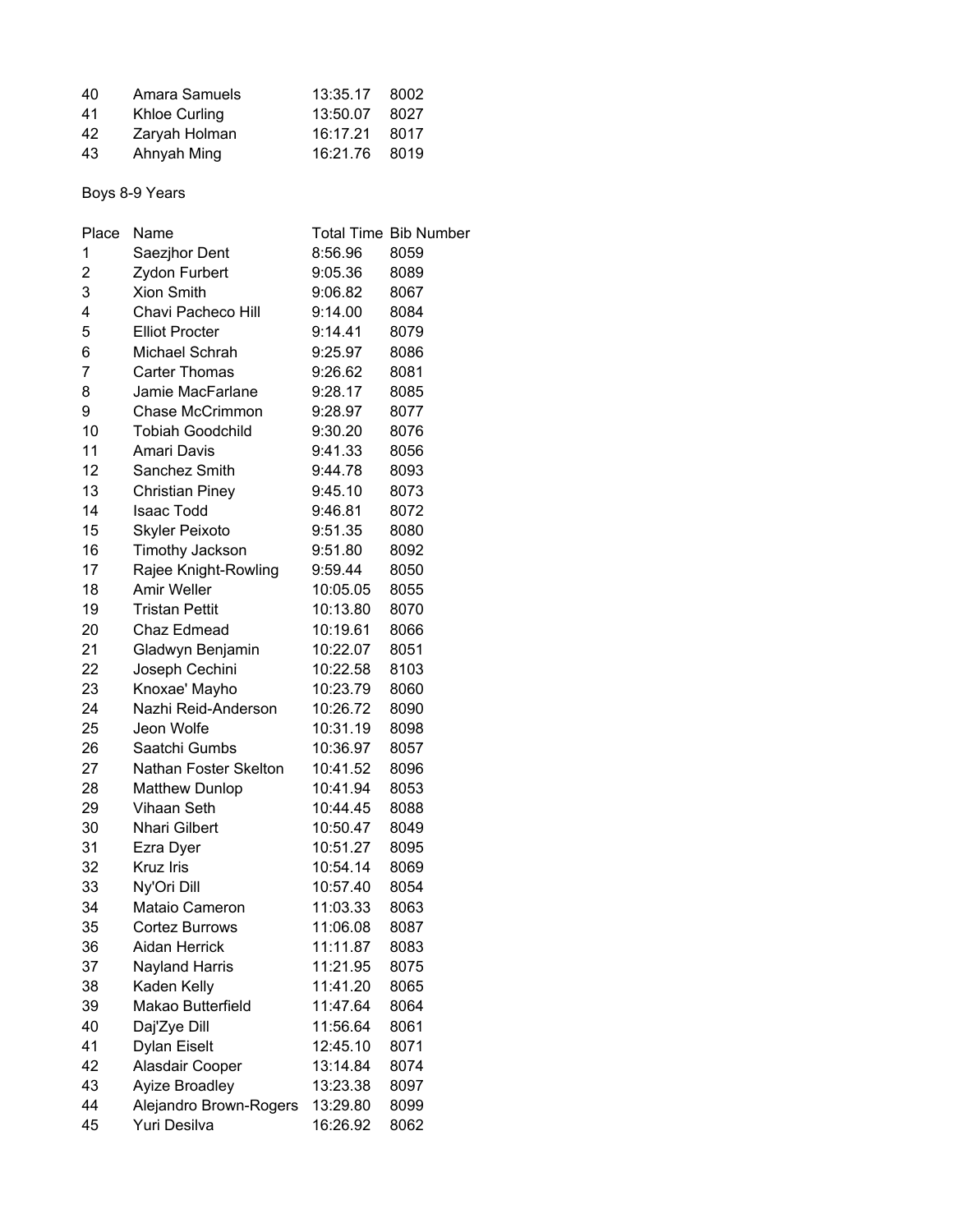| 40 | Amara Samuels | 13:35.17 | 8002 |
|----|---------------|----------|------|
| 41 | Khloe Curling | 13:50.07 | 8027 |
| 42 | Zaryah Holman | 16:17.21 | 8017 |
| 43 | Ahnyah Ming   | 16:21.76 | 8019 |

# Boys 8-9 Years

| Place | Name                    |          | <b>Total Time Bib Number</b> |
|-------|-------------------------|----------|------------------------------|
| 1     | Saezjhor Dent           | 8:56.96  | 8059                         |
| 2     | Zydon Furbert           | 9:05.36  | 8089                         |
| 3     | <b>Xion Smith</b>       | 9:06.82  | 8067                         |
| 4     | Chavi Pacheco Hill      | 9:14.00  | 8084                         |
| 5     | <b>Elliot Procter</b>   | 9:14.41  | 8079                         |
| 6     | Michael Schrah          | 9:25.97  | 8086                         |
| 7     | <b>Carter Thomas</b>    | 9:26.62  | 8081                         |
| 8     | Jamie MacFarlane        | 9:28.17  | 8085                         |
| 9     | Chase McCrimmon         | 9:28.97  | 8077                         |
| 10    | <b>Tobiah Goodchild</b> | 9:30.20  | 8076                         |
| 11    | <b>Amari Davis</b>      | 9:41.33  | 8056                         |
| 12    | Sanchez Smith           | 9:44.78  | 8093                         |
| 13    | <b>Christian Piney</b>  | 9:45.10  | 8073                         |
| 14    | <b>Isaac Todd</b>       | 9:46.81  | 8072                         |
| 15    | <b>Skyler Peixoto</b>   | 9:51.35  | 8080                         |
| 16    | Timothy Jackson         | 9:51.80  | 8092                         |
| 17    | Rajee Knight-Rowling    | 9:59.44  | 8050                         |
| 18    | <b>Amir Weller</b>      | 10:05.05 | 8055                         |
| 19    | <b>Tristan Pettit</b>   | 10:13.80 | 8070                         |
| 20    | Chaz Edmead             | 10:19.61 | 8066                         |
| 21    | Gladwyn Benjamin        | 10:22.07 | 8051                         |
| 22    | Joseph Cechini          | 10:22.58 | 8103                         |
| 23    | Knoxae' Mayho           | 10:23.79 | 8060                         |
| 24    | Nazhi Reid-Anderson     | 10:26.72 | 8090                         |
| 25    | Jeon Wolfe              | 10:31.19 | 8098                         |
| 26    | Saatchi Gumbs           | 10:36.97 | 8057                         |
| 27    | Nathan Foster Skelton   | 10:41.52 | 8096                         |
| 28    | <b>Matthew Dunlop</b>   | 10:41.94 | 8053                         |
| 29    | Vihaan Seth             | 10:44.45 | 8088                         |
| 30    | <b>Nhari Gilbert</b>    | 10:50.47 | 8049                         |
| 31    | Ezra Dyer               | 10:51.27 | 8095                         |
| 32    | <b>Kruz Iris</b>        | 10:54.14 | 8069                         |
| 33    | Ny'Ori Dill             | 10:57.40 | 8054                         |
| 34    | Mataio Cameron          | 11:03.33 | 8063                         |
| 35    | Cortez Burrows          | 11:06.08 | 8087                         |
| 36    | Aidan Herrick           | 11:11.87 | 8083                         |
| 37    | <b>Nayland Harris</b>   | 11:21.95 | 8075                         |
| 38    | Kaden Kelly             | 11:41.20 | 8065                         |
| 39    | Makao Butterfield       | 11:47.64 | 8064                         |
| 40    | Daj'Zye Dill            | 11:56.64 | 8061                         |
| 41    | Dylan Eiselt            | 12:45.10 | 8071                         |
| 42    | Alasdair Cooper         | 13:14.84 | 8074                         |
| 43    | Ayize Broadley          | 13:23.38 | 8097                         |
| 44    | Alejandro Brown-Rogers  | 13:29.80 | 8099                         |
| 45    | Yuri Desilva            | 16:26.92 | 8062                         |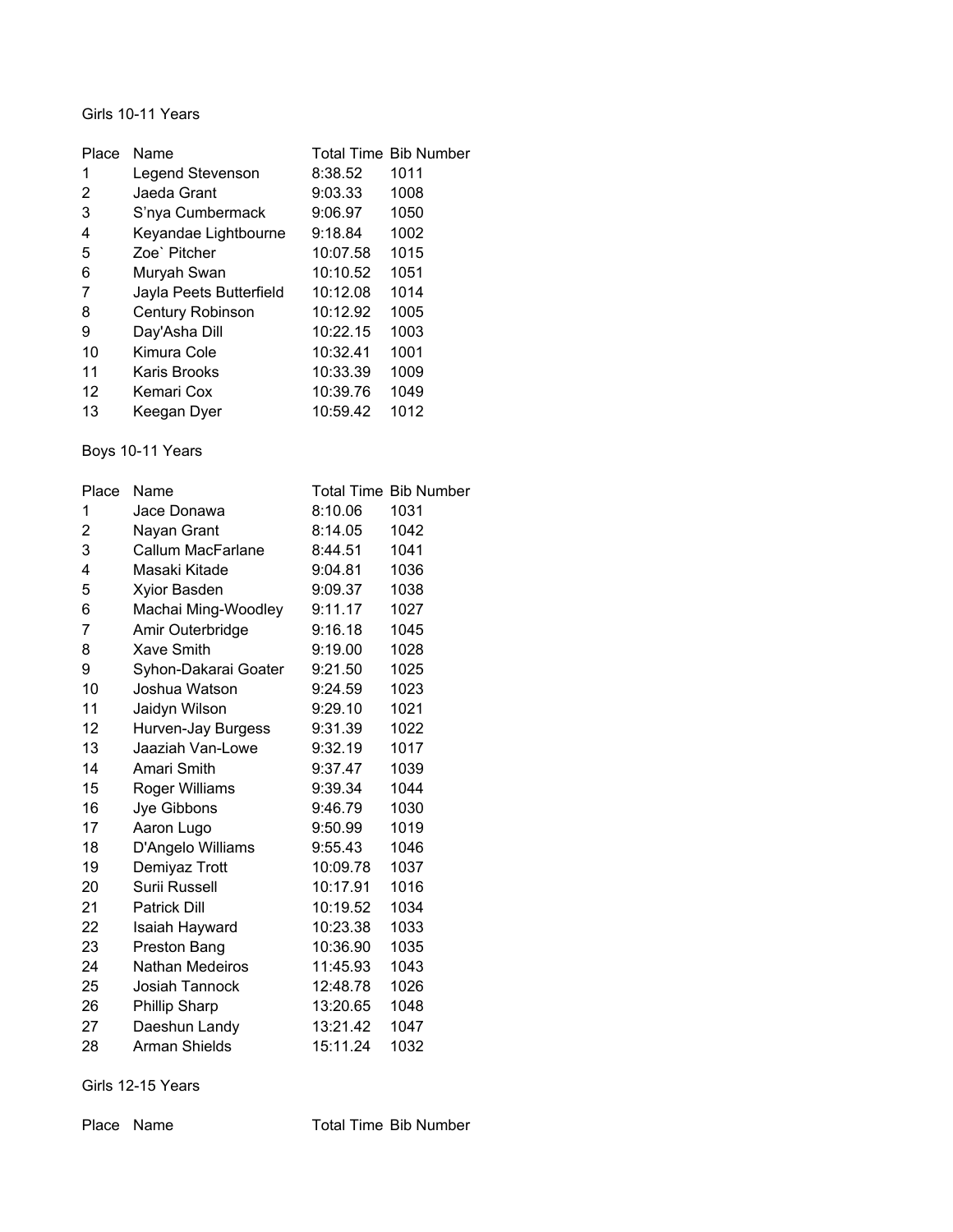#### Girls 10-11 Years

| Place | Name                    |          | <b>Total Time Bib Number</b> |
|-------|-------------------------|----------|------------------------------|
| 1     | Legend Stevenson        | 8:38.52  | 1011                         |
| 2     | Jaeda Grant             | 9:03.33  | 1008                         |
| 3     | S'nya Cumbermack        | 9:06.97  | 1050                         |
| 4     | Keyandae Lightbourne    | 9:18.84  | 1002                         |
| 5     | Zoe` Pitcher            | 10:07.58 | 1015                         |
| 6     | Muryah Swan             | 10:10.52 | 1051                         |
| 7     | Jayla Peets Butterfield | 10:12.08 | 1014                         |
| 8     | <b>Century Robinson</b> | 10:12.92 | 1005                         |
| 9     | Day'Asha Dill           | 10:22.15 | 1003                         |
| 10    | Kimura Cole             | 10:32.41 | 1001                         |
| 11    | Karis Brooks            | 10:33.39 | 1009                         |
| 12    | Kemari Cox              | 10:39.76 | 1049                         |
| 13    | Keegan Dyer             | 10:59.42 | 1012                         |

# Boys 10-11 Years

| Place | Name                 |          | <b>Total Time Bib Number</b> |
|-------|----------------------|----------|------------------------------|
| 1     | Jace Donawa          | 8:10.06  | 1031                         |
| 2     | Nayan Grant          | 8:14.05  | 1042                         |
| 3     | Callum MacFarlane    | 8:44.51  | 1041                         |
| 4     | Masaki Kitade        | 9:04.81  | 1036                         |
| 5     | Xyior Basden         | 9:09.37  | 1038                         |
| 6     | Machai Ming-Woodley  | 9:11.17  | 1027                         |
| 7     | Amir Outerbridge     | 9:16.18  | 1045                         |
| 8     | <b>Xave Smith</b>    | 9:19.00  | 1028                         |
| 9     | Syhon-Dakarai Goater | 9:21.50  | 1025                         |
| 10    | Joshua Watson        | 9:24.59  | 1023                         |
| 11    | Jaidyn Wilson        | 9:29.10  | 1021                         |
| 12    | Hurven-Jay Burgess   | 9:31.39  | 1022                         |
| 13    | Jaaziah Van-Lowe     | 9:32.19  | 1017                         |
| 14    | Amari Smith          | 9:37.47  | 1039                         |
| 15    | Roger Williams       | 9:39.34  | 1044                         |
| 16    | Jye Gibbons          | 9:46.79  | 1030                         |
| 17    | Aaron Lugo           | 9:50.99  | 1019                         |
| 18    | D'Angelo Williams    | 9:55.43  | 1046                         |
| 19    | Demiyaz Trott        | 10:09.78 | 1037                         |
| 20    | Surii Russell        | 10:17.91 | 1016                         |
| 21    | <b>Patrick Dill</b>  | 10:19.52 | 1034                         |
| 22    | Isaiah Hayward       | 10:23.38 | 1033                         |
| 23    | Preston Bang         | 10:36.90 | 1035                         |
| 24    | Nathan Medeiros      | 11:45.93 | 1043                         |
| 25    | Josiah Tannock       | 12:48.78 | 1026                         |
| 26    | <b>Phillip Sharp</b> | 13:20.65 | 1048                         |
| 27    | Daeshun Landy        | 13:21.42 | 1047                         |
| 28    | <b>Arman Shields</b> | 15:11.24 | 1032                         |

Girls 12-15 Years

Place Name Total Time Bib Number